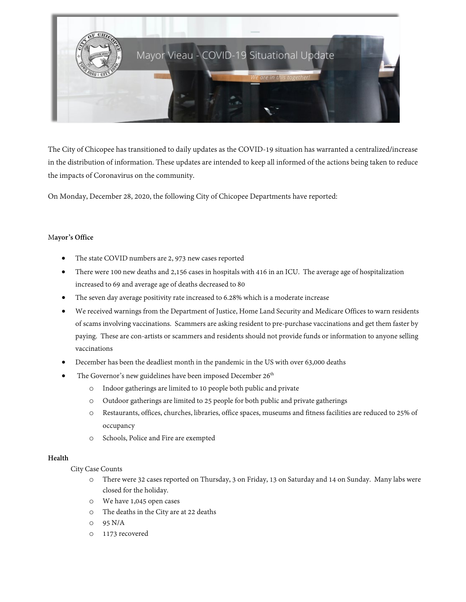

The City of Chicopee has transitioned to daily updates as the COVID-19 situation has warranted a centralized/increase in the distribution of information. These updates are intended to keep all informed of the actions being taken to reduce the impacts of Coronavirus on the community.

On Monday, December 28, 2020, the following City of Chicopee Departments have reported:

## M**ayor's Office**

- The state COVID numbers are 2, 973 new cases reported
- There were 100 new deaths and 2,156 cases in hospitals with 416 in an ICU. The average age of hospitalization increased to 69 and average age of deaths decreased to 80
- The seven day average positivity rate increased to 6.28% which is a moderate increase
- We received warnings from the Department of Justice, Home Land Security and Medicare Offices to warn residents of scams involving vaccinations. Scammers are asking resident to pre-purchase vaccinations and get them faster by paying. These are con-artists or scammers and residents should not provide funds or information to anyone selling vaccinations
- December has been the deadliest month in the pandemic in the US with over 63,000 deaths
- The Governor's new guidelines have been imposed December 26<sup>th</sup>
	- o Indoor gatherings are limited to 10 people both public and private
	- o Outdoor gatherings are limited to 25 people for both public and private gatherings
	- o Restaurants, offices, churches, libraries, office spaces, museums and fitness facilities are reduced to 25% of occupancy
	- o Schools, Police and Fire are exempted

## **Health**

City Case Counts

- o There were 32 cases reported on Thursday, 3 on Friday, 13 on Saturday and 14 on Sunday. Many labs were closed for the holiday.
- o We have 1,045 open cases
- o The deaths in the City are at 22 deaths
- $O$  95 N/A
- o 1173 recovered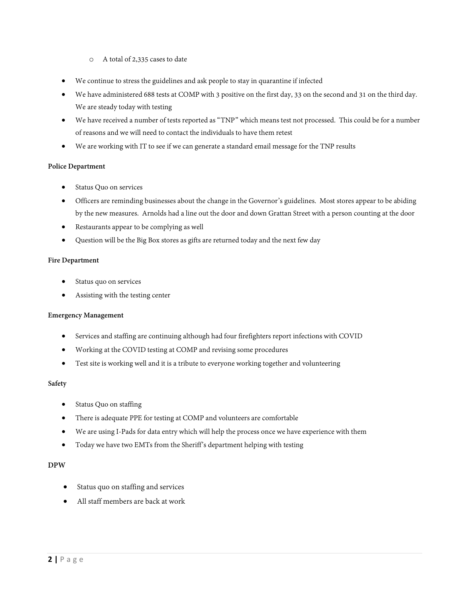- o A total of 2,335 cases to date
- We continue to stress the guidelines and ask people to stay in quarantine if infected
- We have administered 688 tests at COMP with 3 positive on the first day, 33 on the second and 31 on the third day. We are steady today with testing
- We have received a number of tests reported as "TNP" which means test not processed. This could be for a number of reasons and we will need to contact the individuals to have them retest
- We are working with IT to see if we can generate a standard email message for the TNP results

## **Police Department**

- Status Quo on services
- Officers are reminding businesses about the change in the Governor's guidelines. Most stores appear to be abiding by the new measures. Arnolds had a line out the door and down Grattan Street with a person counting at the door
- Restaurants appear to be complying as well
- Question will be the Big Box stores as gifts are returned today and the next few day

## **Fire Department**

- Status quo on services
- Assisting with the testing center

#### **Emergency Management**

- Services and staffing are continuing although had four firefighters report infections with COVID
- Working at the COVID testing at COMP and revising some procedures
- Test site is working well and it is a tribute to everyone working together and volunteering

#### **Safety**

- Status Quo on staffing
- There is adequate PPE for testing at COMP and volunteers are comfortable
- We are using I-Pads for data entry which will help the process once we have experience with them
- Today we have two EMTs from the Sheriff's department helping with testing

#### **DPW**

- Status quo on staffing and services
- All staff members are back at work